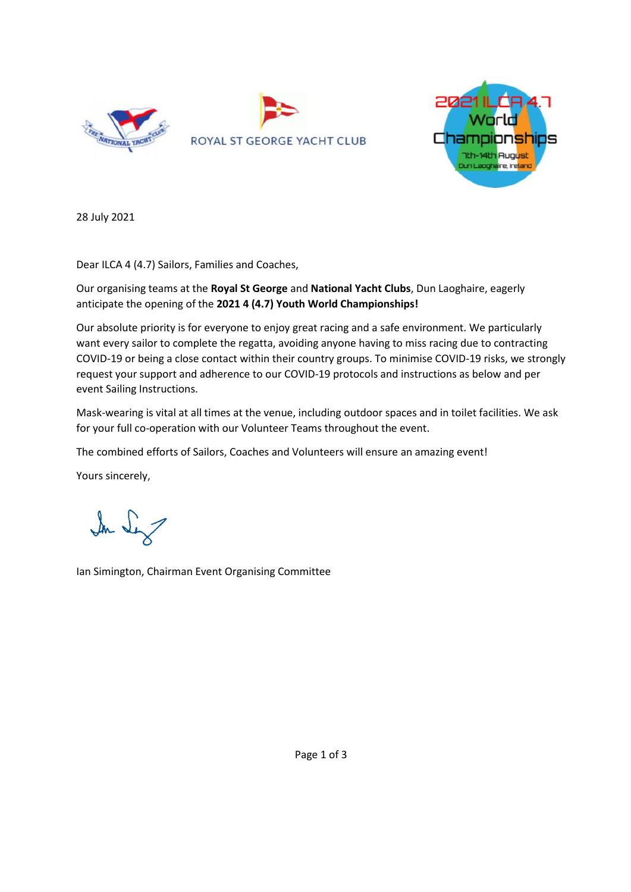



28 July 2021

Dear ILCA 4 (4.7) Sailors, Families and Coaches,

Our organising teams at the **Royal St George** and **National Yacht Clubs**, Dun Laoghaire, eagerly anticipate the opening of the **2021 4 (4.7) Youth World Championships!**

Our absolute priority is for everyone to enjoy great racing and a safe environment. We particularly want every sailor to complete the regatta, avoiding anyone having to miss racing due to contracting COVID-19 or being a close contact within their country groups. To minimise COVID-19 risks, we strongly request your support and adherence to our COVID-19 protocols and instructions as below and per event Sailing Instructions.

Mask-wearing is vital at all times at the venue, including outdoor spaces and in toilet facilities. We ask for your full co-operation with our Volunteer Teams throughout the event.

The combined efforts of Sailors, Coaches and Volunteers will ensure an amazing event!

Yours sincerely,

In Sex

Ian Simington, Chairman Event Organising Committee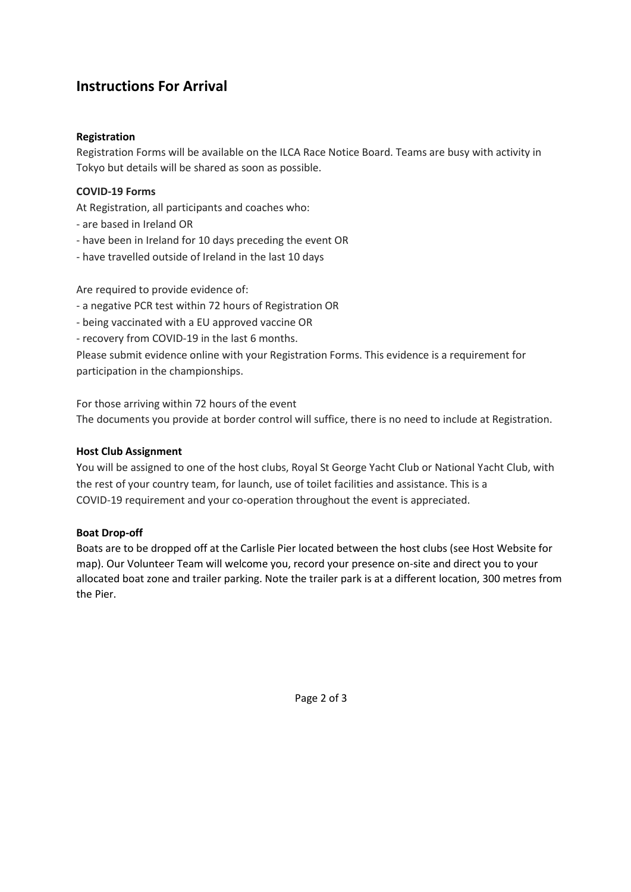# **Instructions For Arrival**

## **Registration**

Registration Forms will be available on the ILCA Race Notice Board. Teams are busy with activity in Tokyo but details will be shared as soon as possible.

#### **COVID-19 Forms**

At Registration, all participants and coaches who:

- are based in Ireland OR
- have been in Ireland for 10 days preceding the event OR
- have travelled outside of Ireland in the last 10 days

Are required to provide evidence of:

- a negative PCR test within 72 hours of Registration OR

- being vaccinated with a EU approved vaccine OR
- recovery from COVID-19 in the last 6 months.

Please submit evidence online with your Registration Forms. This evidence is a requirement for participation in the championships.

For those arriving within 72 hours of the event The documents you provide at border control will suffice, there is no need to include at Registration.

#### **Host Club Assignment**

You will be assigned to one of the host clubs, Royal St George Yacht Club or National Yacht Club, with the rest of your country team, for launch, use of toilet facilities and assistance. This is a COVID-19 requirement and your co-operation throughout the event is appreciated.

#### **Boat Drop-off**

Boats are to be dropped off at the Carlisle Pier located between the host clubs (see Host Website for map). Our Volunteer Team will welcome you, record your presence on-site and direct you to your allocated boat zone and trailer parking. Note the trailer park is at a different location, 300 metres from the Pier.

Page 2 of 3